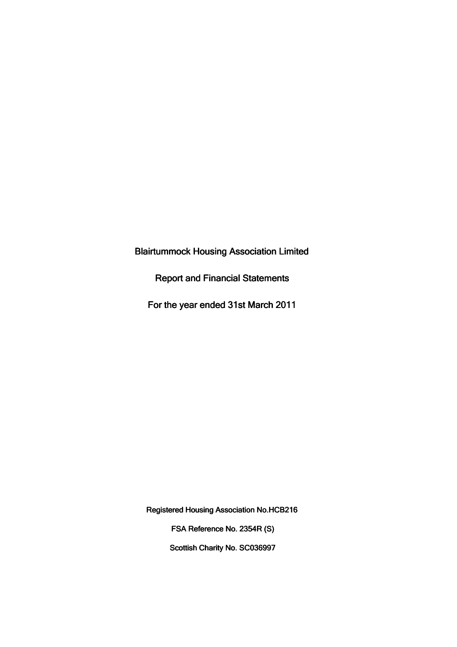Blairtummock Housing Association Limited

Report and Financial Statements

For the year ended 31st March 2011

Registered Housing Association No.HCB216

FSA Reference No. 2354R (S)

Scottish Charity No. SC036997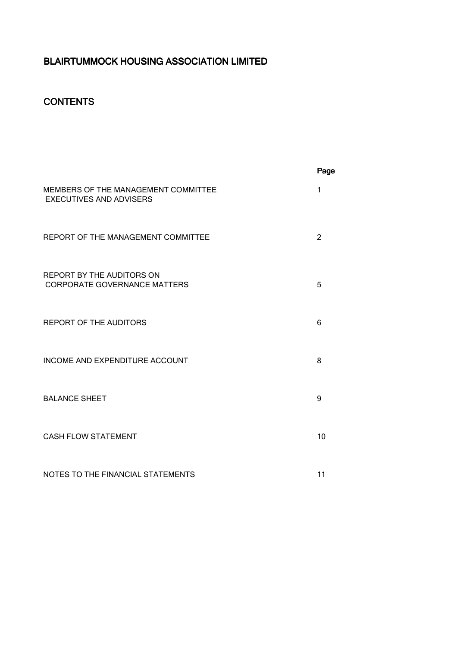## **CONTENTS**

|                                                                       | Page           |
|-----------------------------------------------------------------------|----------------|
| MEMBERS OF THE MANAGEMENT COMMITTEE<br><b>EXECUTIVES AND ADVISERS</b> | $\mathbf{1}$   |
| REPORT OF THE MANAGEMENT COMMITTEE                                    | $\overline{2}$ |
| REPORT BY THE AUDITORS ON<br><b>CORPORATE GOVERNANCE MATTERS</b>      | 5              |
| <b>REPORT OF THE AUDITORS</b>                                         | 6              |
| INCOME AND EXPENDITURE ACCOUNT                                        | 8              |
| <b>BALANCE SHEET</b>                                                  | 9              |
| <b>CASH FLOW STATEMENT</b>                                            | 10             |
| NOTES TO THE FINANCIAL STATEMENTS                                     | 11             |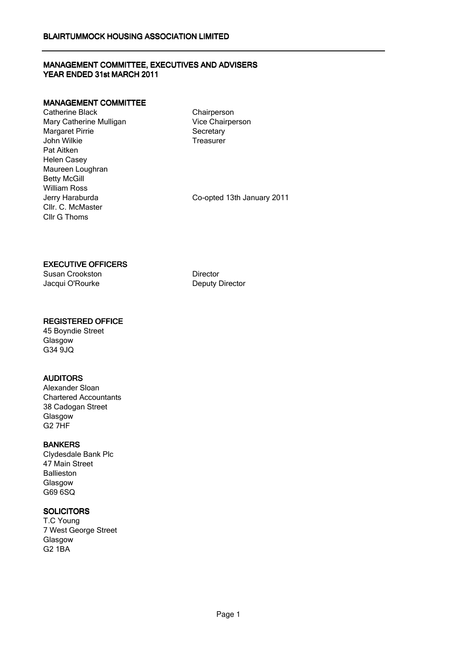## MANAGEMENT COMMITTEE, EXECUTIVES AND ADVISERS YEAR ENDED 31st MARCH 2011

### MANAGEMENT COMMITTEE

Catherine Black Mary Catherine Mulligan Margaret Pirrie John Wilkie Pat Aitken Helen Casey Maureen Loughran Betty McGill William Ross<br>Jerry Haraburda Cllr. C. McMaster Cllr G Thoms

**Chairperson** Vice Chairperson **Secretary** Treasurer

Co-opted 13th January 2011

## EXECUTIVE OFFICERS

Susan Crookston **Director** Director Jacqui O'Rourke Deputy Director

### REGISTERED OFFICE

45 Boyndie Street **Glasgow** G34 9JQ

## AUDITORS

Alexander Sloan Chartered Accountants 38 Cadogan Street **Glasgow** G2 7HF

BANKERS Clydesdale Bank Plc 47 Main Street **Ballieston** Glasgow G69 6SQ

## **SOLICITORS**

T.C Young 7 West George Street Glasgow G2 1BA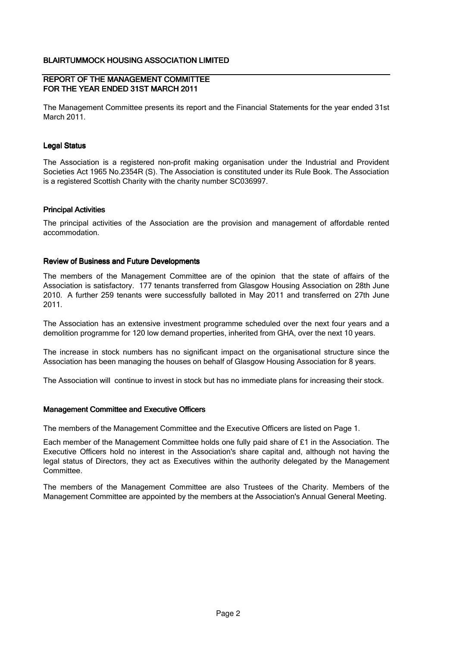#### REPORT OF THE MANAGEMENT COMMITTEE FOR THE YEAR ENDED 31ST MARCH 2011

The Management Committee presents its report and the Financial Statements for the year ended 31st March 2011.

#### Legal Status

The Association is a registered non-profit making organisation under the Industrial and Provident Societies Act 1965 No.2354R (S). The Association is constituted under its Rule Book. The Association is a registered Scottish Charity with the charity number SC036997.

#### Principal Activities

The principal activities of the Association are the provision and management of affordable rented accommodation.

#### Review of Business and Future Developments

The members of the Management Committee are of the opinion that the state of affairs of the Association is satisfactory. 177 tenants transferred from Glasgow Housing Association on 28th June 2010. A further 259 tenants were successfully balloted in May 2011 and transferred on 27th June 2011.

The Association has an extensive investment programme scheduled over the next four years and a demolition programme for 120 low demand properties, inherited from GHA, over the next 10 years.

The increase in stock numbers has no significant impact on the organisational structure since the Association has been managing the houses on behalf of Glasgow Housing Association for 8 years.

The Association will continue to invest in stock but has no immediate plans for increasing their stock.

#### Management Committee and Executive Officers

The members of the Management Committee and the Executive Officers are listed on Page 1.

Each member of the Management Committee holds one fully paid share of £1 in the Association. The Executive Officers hold no interest in the Association's share capital and, although not having the legal status of Directors, they act as Executives within the authority delegated by the Management Committee.

The members of the Management Committee are also Trustees of the Charity. Members of the Management Committee are appointed by the members at the Association's Annual General Meeting.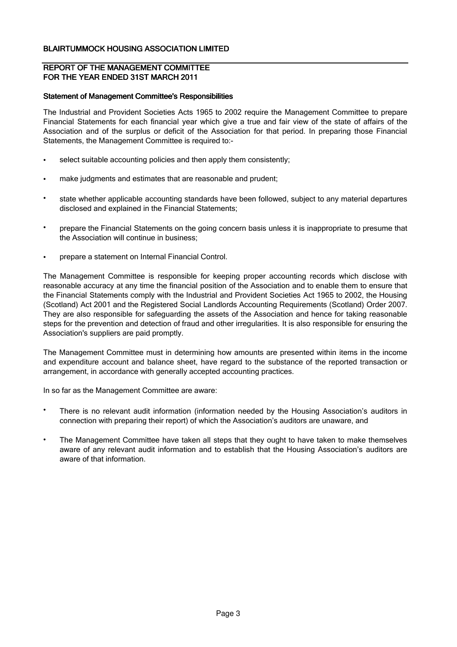#### REPORT OF THE MANAGEMENT COMMITTEE FOR THE YEAR ENDED 31ST MARCH 2011

#### Statement of Management Committee's Responsibilities

The Industrial and Provident Societies Acts 1965 to 2002 require the Management Committee to prepare Financial Statements for each financial year which give a true and fair view of the state of affairs of the Association and of the surplus or deficit of the Association for that period. In preparing those Financial Statements, the Management Committee is required to:-

- select suitable accounting policies and then apply them consistently;
- make judgments and estimates that are reasonable and prudent;
- state whether applicable accounting standards have been followed, subject to any material departures disclosed and explained in the Financial Statements;
- prepare the Financial Statements on the going concern basis unless it is inappropriate to presume that the Association will continue in business;
- prepare a statement on Internal Financial Control.

The Management Committee is responsible for keeping proper accounting records which disclose with reasonable accuracy at any time the financial position of the Association and to enable them to ensure that the Financial Statements comply with the Industrial and Provident Societies Act 1965 to 2002, the Housing (Scotland) Act 2001 and the Registered Social Landlords Accounting Requirements (Scotland) Order 2007. They are also responsible for safeguarding the assets of the Association and hence for taking reasonable steps for the prevention and detection of fraud and other irregularities. It is also responsible for ensuring the Association's suppliers are paid promptly.

The Management Committee must in determining how amounts are presented within items in the income and expenditure account and balance sheet, have regard to the substance of the reported transaction or arrangement, in accordance with generally accepted accounting practices.

In so far as the Management Committee are aware:

- There is no relevant audit information (information needed by the Housing Association's auditors in connection with preparing their report) of which the Association's auditors are unaware, and
- The Management Committee have taken all steps that they ought to have taken to make themselves aware of any relevant audit information and to establish that the Housing Association's auditors are aware of that information.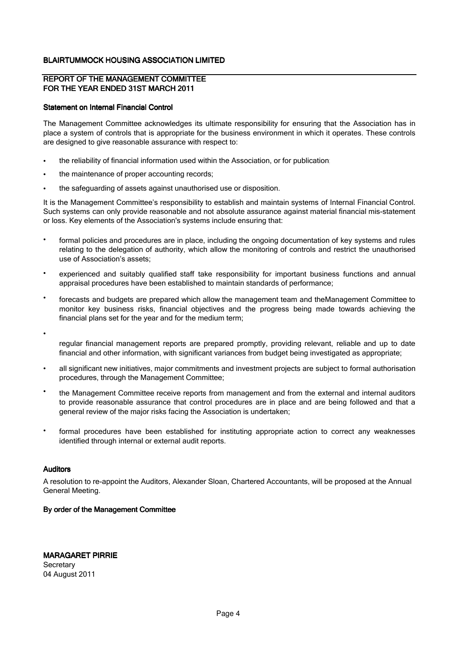#### REPORT OF THE MANAGEMENT COMMITTEE FOR THE YEAR ENDED 31ST MARCH 2011

#### Statement on Internal Financial Control

The Management Committee acknowledges its ultimate responsibility for ensuring that the Association has in place a system of controls that is appropriate for the business environment in which it operates. These controls are designed to give reasonable assurance with respect to:

- the reliability of financial information used within the Association, or for publication;
- the maintenance of proper accounting records:
- the safeguarding of assets against unauthorised use or disposition.

It is the Management Committee's responsibility to establish and maintain systems of Internal Financial Control. Such systems can only provide reasonable and not absolute assurance against material financial mis-statement or loss. Key elements of the Association's systems include ensuring that:

- formal policies and procedures are in place, including the ongoing documentation of key systems and rules relating to the delegation of authority, which allow the monitoring of controls and restrict the unauthorised use of Association's assets;
- experienced and suitably qualified staff take responsibility for important business functions and annual appraisal procedures have been established to maintain standards of performance;
- forecasts and budgets are prepared which allow the management team and theManagement Committee to monitor key business risks, financial objectives and the progress being made towards achieving the financial plans set for the year and for the medium term;
- •

regular financial management reports are prepared promptly, providing relevant, reliable and up to date financial and other information, with significant variances from budget being investigated as appropriate;

- all significant new initiatives, major commitments and investment projects are subject to formal authorisation procedures, through the Management Committee;
- the Management Committee receive reports from management and from the external and internal auditors to provide reasonable assurance that control procedures are in place and are being followed and that a general review of the major risks facing the Association is undertaken;
- formal procedures have been established for instituting appropriate action to correct any weaknesses identified through internal or external audit reports.

### Auditors

A resolution to re-appoint the Auditors, Alexander Sloan, Chartered Accountants, will be proposed at the Annual General Meeting.

## By order of the Management Committee

**Secretary** 04 August 2011 MARAGARET PIRRIE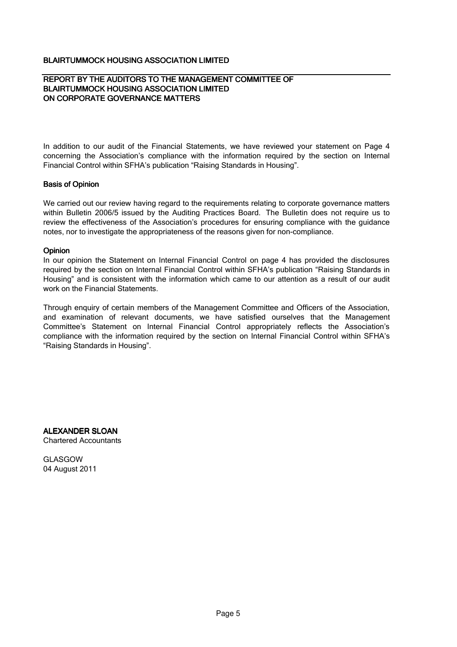#### REPORT BY THE AUDITORS TO THE MANAGEMENT COMMITTEE OF BLAIRTUMMOCK HOUSING ASSOCIATION LIMITED ON CORPORATE GOVERNANCE MATTERS

In addition to our audit of the Financial Statements, we have reviewed your statement on Page 4 concerning the Association's compliance with the information required by the section on Internal Financial Control within SFHA's publication "Raising Standards in Housing".

#### Basis of Opinion

We carried out our review having regard to the requirements relating to corporate governance matters within Bulletin 2006/5 issued by the Auditing Practices Board. The Bulletin does not require us to review the effectiveness of the Association's procedures for ensuring compliance with the guidance notes, nor to investigate the appropriateness of the reasons given for non-compliance.

#### Opinion

In our opinion the Statement on Internal Financial Control on page 4 has provided the disclosures required by the section on Internal Financial Control within SFHA's publication "Raising Standards in Housing" and is consistent with the information which came to our attention as a result of our audit work on the Financial Statements.

Through enquiry of certain members of the Management Committee and Officers of the Association, and examination of relevant documents, we have satisfied ourselves that the Management Committee's Statement on Internal Financial Control appropriately reflects the Association's compliance with the information required by the section on Internal Financial Control within SFHA's "Raising Standards in Housing".

ALEXANDER SLOAN Chartered Accountants

GLASGOW 04 August 2011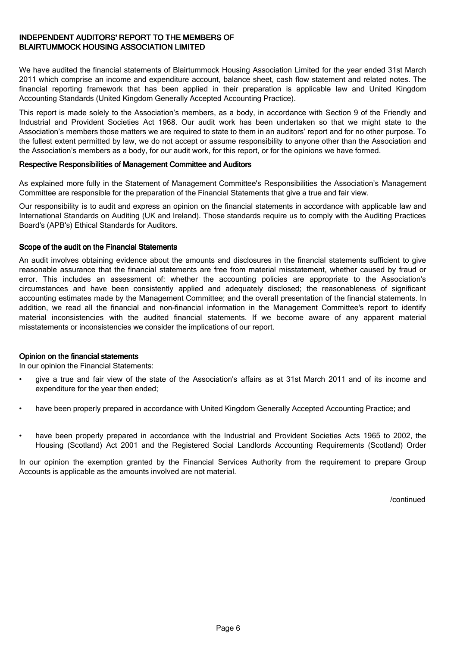We have audited the financial statements of Blairtummock Housing Association Limited for the year ended 31st March 2011 which comprise an income and expenditure account, balance sheet, cash flow statement and related notes. The financial reporting framework that has been applied in their preparation is applicable law and United Kingdom Accounting Standards (United Kingdom Generally Accepted Accounting Practice).

This report is made solely to the Association's members, as a body, in accordance with Section 9 of the Friendly and Industrial and Provident Societies Act 1968. Our audit work has been undertaken so that we might state to the Association's members those matters we are required to state to them in an auditors' report and for no other purpose. To the fullest extent permitted by law, we do not accept or assume responsibility to anyone other than the Association and the Association's members as a body, for our audit work, for this report, or for the opinions we have formed.

#### Respective Responsibilities of Management Committee and Auditors

As explained more fully in the Statement of Management Committee's Responsibilities the Association's Management Committee are responsible for the preparation of the Financial Statements that give a true and fair view.

Our responsibility is to audit and express an opinion on the financial statements in accordance with applicable law and International Standards on Auditing (UK and Ireland). Those standards require us to comply with the Auditing Practices Board's (APB's) Ethical Standards for Auditors.

#### Scope of the audit on the Financial Statements

An audit involves obtaining evidence about the amounts and disclosures in the financial statements sufficient to give reasonable assurance that the financial statements are free from material misstatement, whether caused by fraud or error. This includes an assessment of: whether the accounting policies are appropriate to the Association's circumstances and have been consistently applied and adequately disclosed; the reasonableness of significant accounting estimates made by the Management Committee; and the overall presentation of the financial statements. In addition, we read all the financial and non-financial information in the Management Committee's report to identify material inconsistencies with the audited financial statements. If we become aware of any apparent material misstatements or inconsistencies we consider the implications of our report.

### Opinion on the financial statements

In our opinion the Financial Statements:

- give a true and fair view of the state of the Association's affairs as at 31st March 2011 and of its income and expenditure for the year then ended;
- have been properly prepared in accordance with United Kingdom Generally Accepted Accounting Practice; and
- have been properly prepared in accordance with the Industrial and Provident Societies Acts 1965 to 2002, the Housing (Scotland) Act 2001 and the Registered Social Landlords Accounting Requirements (Scotland) Order

2007. In our opinion the exemption granted by the Financial Services Authority from the requirement to prepare Group Accounts is applicable as the amounts involved are not material.

/continued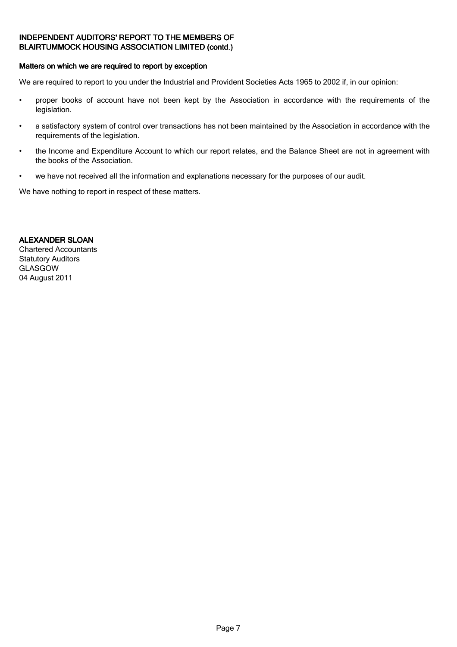## INDEPENDENT AUDITORS' REPORT TO THE MEMBERS OF BLAIRTUMMOCK HOUSING ASSOCIATION LIMITED (contd.)

#### Matters on which we are required to report by exception

We are required to report to you under the Industrial and Provident Societies Acts 1965 to 2002 if, in our opinion:

- proper books of account have not been kept by the Association in accordance with the requirements of the legislation.
- a satisfactory system of control over transactions has not been maintained by the Association in accordance with the requirements of the legislation.
- the Income and Expenditure Account to which our report relates, and the Balance Sheet are not in agreement with the books of the Association.
- we have not received all the information and explanations necessary for the purposes of our audit.

We have nothing to report in respect of these matters.

## ALEXANDER SLOAN

Chartered Accountants Statutory Auditors GLASGOW 04 August 2011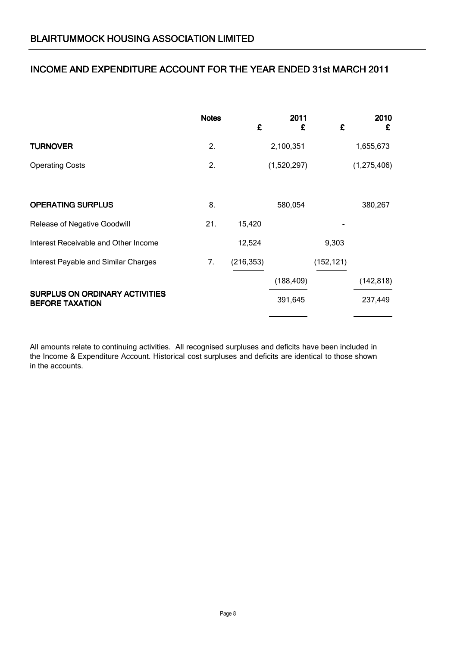## INCOME AND EXPENDITURE ACCOUNT FOR THE YEAR ENDED 31st MARCH 2011

|                                                                 | <b>Notes</b> | £          | 2011<br>£   | £          | 2010<br>£   |
|-----------------------------------------------------------------|--------------|------------|-------------|------------|-------------|
| <b>TURNOVER</b>                                                 | 2.           |            | 2,100,351   |            | 1,655,673   |
| <b>Operating Costs</b>                                          | 2.           |            | (1,520,297) |            | (1,275,406) |
|                                                                 |              |            |             |            |             |
| <b>OPERATING SURPLUS</b>                                        | 8.           |            | 580,054     |            | 380,267     |
| Release of Negative Goodwill                                    | 21.          | 15,420     |             |            |             |
| Interest Receivable and Other Income                            |              | 12,524     |             | 9,303      |             |
| Interest Payable and Similar Charges                            | 7.           | (216, 353) |             | (152, 121) |             |
|                                                                 |              |            | (188, 409)  |            | (142, 818)  |
| <b>SURPLUS ON ORDINARY ACTIVITIES</b><br><b>BEFORE TAXATION</b> |              |            | 391,645     |            | 237,449     |

All amounts relate to continuing activities. All recognised surpluses and deficits have been included in the Income & Expenditure Account. Historical cost surpluses and deficits are identical to those shown in the accounts.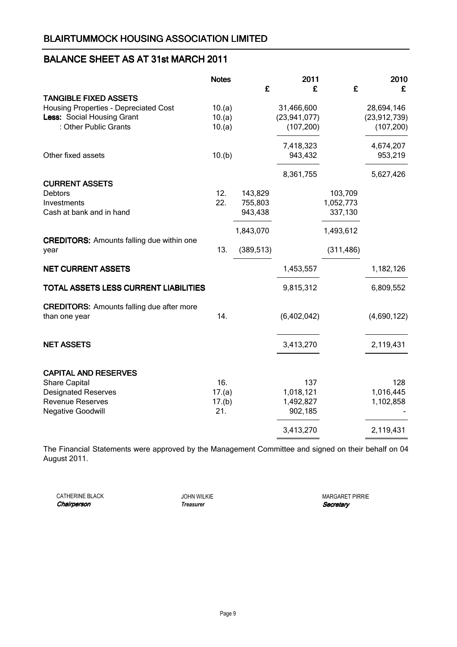## BALANCE SHEET AS AT 31st MARCH 2011

|                                                          | <b>Notes</b>  | £          | 2011<br>£      | £          | 2010<br>£      |
|----------------------------------------------------------|---------------|------------|----------------|------------|----------------|
| <b>TANGIBLE FIXED ASSETS</b>                             |               |            |                |            |                |
| Housing Properties - Depreciated Cost                    | 10.(a)        |            | 31,466,600     |            | 28,694,146     |
| Less: Social Housing Grant                               | 10.(a)        |            | (23, 941, 077) |            | (23, 912, 739) |
| : Other Public Grants                                    | 10.(a)        |            | (107, 200)     |            | (107, 200)     |
|                                                          |               |            | 7,418,323      |            | 4,674,207      |
| Other fixed assets                                       | 10.(b)        |            | 943,432        |            | 953,219        |
|                                                          |               |            | 8,361,755      |            | 5,627,426      |
| <b>CURRENT ASSETS</b>                                    |               |            |                |            |                |
| <b>Debtors</b>                                           | 12.           | 143,829    |                | 103,709    |                |
| Investments                                              | 22.           | 755,803    |                | 1,052,773  |                |
| Cash at bank and in hand                                 |               | 943,438    |                | 337,130    |                |
|                                                          |               | 1,843,070  |                | 1,493,612  |                |
| <b>CREDITORS:</b> Amounts falling due within one<br>year | 13.           | (389, 513) |                | (311, 486) |                |
|                                                          |               |            |                |            |                |
| <b>NET CURRENT ASSETS</b>                                |               |            | 1,453,557      |            | 1,182,126      |
| TOTAL ASSETS LESS CURRENT LIABILITIES                    |               |            | 9,815,312      |            | 6,809,552      |
| <b>CREDITORS:</b> Amounts falling due after more         |               |            |                |            |                |
| than one year                                            | 14.           |            | (6,402,042)    |            | (4,690,122)    |
|                                                          |               |            |                |            |                |
| <b>NET ASSETS</b>                                        |               |            | 3,413,270      |            | 2,119,431      |
| <b>CAPITAL AND RESERVES</b>                              |               |            |                |            |                |
| <b>Share Capital</b>                                     | 16.           |            | 137            |            | 128            |
| <b>Designated Reserves</b>                               | 17.(a)        |            | 1,018,121      |            | 1,016,445      |
| <b>Revenue Reserves</b>                                  |               |            | 1,492,827      |            | 1,102,858      |
| <b>Negative Goodwill</b>                                 | 17.(b)<br>21. |            | 902,185        |            |                |
|                                                          |               |            | 3,413,270      |            | 2,119,431      |
|                                                          |               |            |                |            |                |

The Financial Statements were approved by the Management Committee and signed on their behalf on 04 August 2011.

CATHERINE BLACK **Chairperson** 

JOHN WILKIE **Treasurer** 

MARGARET PIRRIE **Secretary**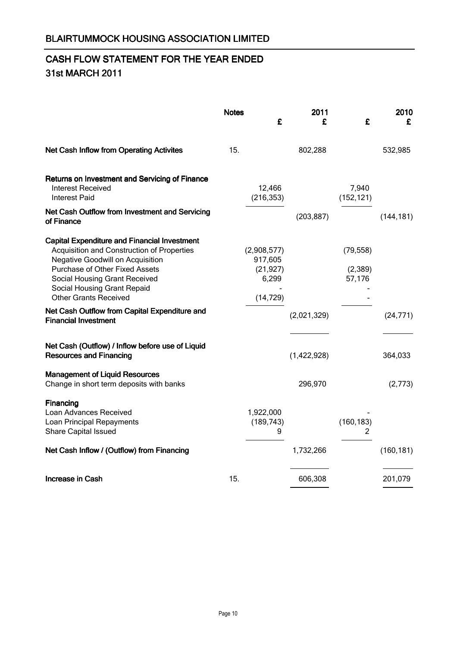# CASH FLOW STATEMENT FOR THE YEAR ENDED 31st MARCH 2011

|                                                                                                                                                                                                                                                                                | <b>Notes</b> | £                                                         | 2011<br>£   | £                              | 2010<br>£  |
|--------------------------------------------------------------------------------------------------------------------------------------------------------------------------------------------------------------------------------------------------------------------------------|--------------|-----------------------------------------------------------|-------------|--------------------------------|------------|
| <b>Net Cash Inflow from Operating Activites</b>                                                                                                                                                                                                                                | 15.          |                                                           | 802,288     |                                | 532,985    |
| Returns on Investment and Servicing of Finance<br>Interest Received<br><b>Interest Paid</b>                                                                                                                                                                                    |              | 12,466<br>(216, 353)                                      |             | 7,940<br>(152, 121)            |            |
| Net Cash Outflow from Investment and Servicing<br>of Finance                                                                                                                                                                                                                   |              |                                                           | (203, 887)  |                                | (144, 181) |
| <b>Capital Expenditure and Financial Investment</b><br>Acquisition and Construction of Properties<br><b>Negative Goodwill on Acquisition</b><br>Purchase of Other Fixed Assets<br>Social Housing Grant Received<br>Social Housing Grant Repaid<br><b>Other Grants Received</b> |              | (2,908,577)<br>917,605<br>(21, 927)<br>6,299<br>(14, 729) |             | (79, 558)<br>(2,389)<br>57,176 |            |
| Net Cash Outflow from Capital Expenditure and<br><b>Financial Investment</b>                                                                                                                                                                                                   |              |                                                           | (2,021,329) |                                | (24, 771)  |
| Net Cash (Outflow) / Inflow before use of Liquid<br><b>Resources and Financing</b>                                                                                                                                                                                             |              |                                                           | (1,422,928) |                                | 364,033    |
| <b>Management of Liquid Resources</b><br>Change in short term deposits with banks                                                                                                                                                                                              |              |                                                           | 296,970     |                                | (2,773)    |
| Financing<br>Loan Advances Received<br>Loan Principal Repayments<br>Share Capital Issued                                                                                                                                                                                       |              | 1,922,000<br>(189, 743)<br>9                              |             | (160, 183)<br>2                |            |
| Net Cash Inflow / (Outflow) from Financing                                                                                                                                                                                                                                     |              |                                                           | 1,732,266   |                                | (160, 181) |
| <b>Increase in Cash</b>                                                                                                                                                                                                                                                        | 15.          |                                                           | 606,308     |                                | 201,079    |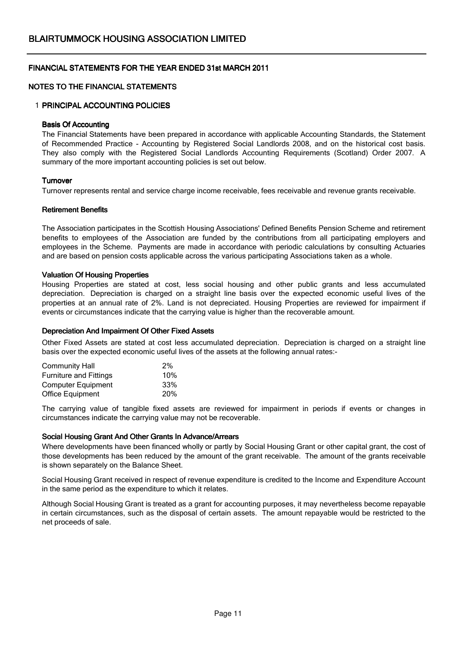## NOTES TO THE FINANCIAL STATEMENTS

#### 1 PRINCIPAL ACCOUNTING POLICIES

#### Basis Of Accounting

The Financial Statements have been prepared in accordance with applicable Accounting Standards, the Statement of Recommended Practice - Accounting by Registered Social Landlords 2008, and on the historical cost basis. They also comply with the Registered Social Landlords Accounting Requirements (Scotland) Order 2007. A summary of the more important accounting policies is set out below.

#### **Turnover**

Turnover represents rental and service charge income receivable, fees receivable and revenue grants receivable.

#### Retirement Benefits

The Association participates in the Scottish Housing Associations' Defined Benefits Pension Scheme and retirement benefits to employees of the Association are funded by the contributions from all participating employers and employees in the Scheme. Payments are made in accordance with periodic calculations by consulting Actuaries and are based on pension costs applicable across the various participating Associations taken as a whole.

#### Valuation Of Housing Properties

Housing Properties are stated at cost, less social housing and other public grants and less accumulated depreciation. Depreciation is charged on a straight line basis over the expected economic useful lives of the properties at an annual rate of 2%. Land is not depreciated. Housing Properties are reviewed for impairment if events or circumstances indicate that the carrying value is higher than the recoverable amount.

#### Depreciation And Impairment Of Other Fixed Assets

Other Fixed Assets are stated at cost less accumulated depreciation. Depreciation is charged on a straight line basis over the expected economic useful lives of the assets at the following annual rates:-

| 2%         |
|------------|
| 10%        |
| 33%        |
| <b>20%</b> |
|            |

The carrying value of tangible fixed assets are reviewed for impairment in periods if events or changes in circumstances indicate the carrying value may not be recoverable.

#### Social Housing Grant And Other Grants In Advance/Arrears

Where developments have been financed wholly or partly by Social Housing Grant or other capital grant, the cost of those developments has been reduced by the amount of the grant receivable. The amount of the grants receivable is shown separately on the Balance Sheet.

Social Housing Grant received in respect of revenue expenditure is credited to the Income and Expenditure Account in the same period as the expenditure to which it relates.

Although Social Housing Grant is treated as a grant for accounting purposes, it may nevertheless become repayable in certain circumstances, such as the disposal of certain assets. The amount repayable would be restricted to the net proceeds of sale.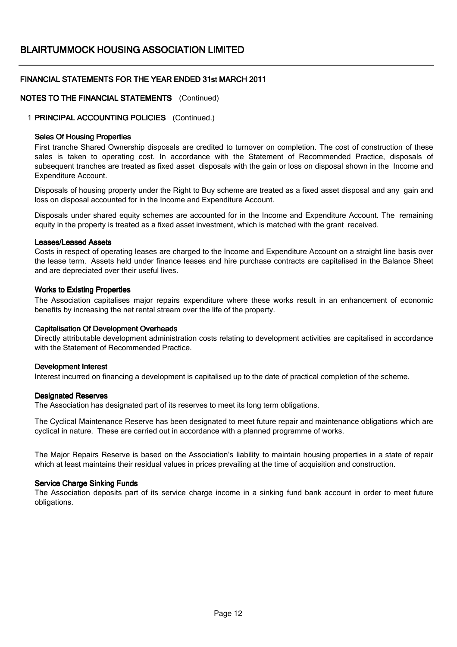## NOTES TO THE FINANCIAL STATEMENTS (Continued)

### 1 PRINCIPAL ACCOUNTING POLICIES (Continued.)

#### Sales Of Housing Properties

First tranche Shared Ownership disposals are credited to turnover on completion. The cost of construction of these sales is taken to operating cost. In accordance with the Statement of Recommended Practice, disposals of subsequent tranches are treated as fixed asset disposals with the gain or loss on disposal shown in the Income and Expenditure Account.

Disposals of housing property under the Right to Buy scheme are treated as a fixed asset disposal and any gain and loss on disposal accounted for in the Income and Expenditure Account.

Disposals under shared equity schemes are accounted for in the Income and Expenditure Account. The remaining equity in the property is treated as a fixed asset investment, which is matched with the grant received.

#### Leases/Leased Assets

Costs in respect of operating leases are charged to the Income and Expenditure Account on a straight line basis over the lease term. Assets held under finance leases and hire purchase contracts are capitalised in the Balance Sheet and are depreciated over their useful lives.

#### Works to Existing Properties

The Association capitalises major repairs expenditure where these works result in an enhancement of economic benefits by increasing the net rental stream over the life of the property.

### Capitalisation Of Development Overheads

Directly attributable development administration costs relating to development activities are capitalised in accordance with the Statement of Recommended Practice.

#### Development Interest

Interest incurred on financing a development is capitalised up to the date of practical completion of the scheme.

#### Designated Reserves

The Association has designated part of its reserves to meet its long term obligations.

The Cyclical Maintenance Reserve has been designated to meet future repair and maintenance obligations which are cyclical in nature. These are carried out in accordance with a planned programme of works.

The Major Repairs Reserve is based on the Association's liability to maintain housing properties in a state of repair which at least maintains their residual values in prices prevailing at the time of acquisition and construction.

#### Service Charge Sinking Funds

The Association deposits part of its service charge income in a sinking fund bank account in order to meet future obligations.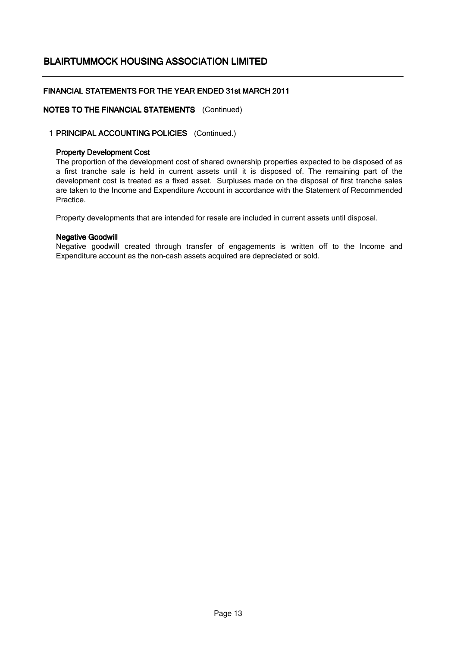## FINANCIAL STATEMENTS FOR THE YEAR ENDED 31st MARCH 2011

## NOTES TO THE FINANCIAL STATEMENTS (Continued)

## 1 PRINCIPAL ACCOUNTING POLICIES (Continued.)

#### Property Development Cost

The proportion of the development cost of shared ownership properties expected to be disposed of as a first tranche sale is held in current assets until it is disposed of. The remaining part of the development cost is treated as a fixed asset. Surpluses made on the disposal of first tranche sales are taken to the Income and Expenditure Account in accordance with the Statement of Recommended Practice.

Property developments that are intended for resale are included in current assets until disposal.

#### Negative Goodwill

Negative goodwill created through transfer of engagements is written off to the Income and Expenditure account as the non-cash assets acquired are depreciated or sold.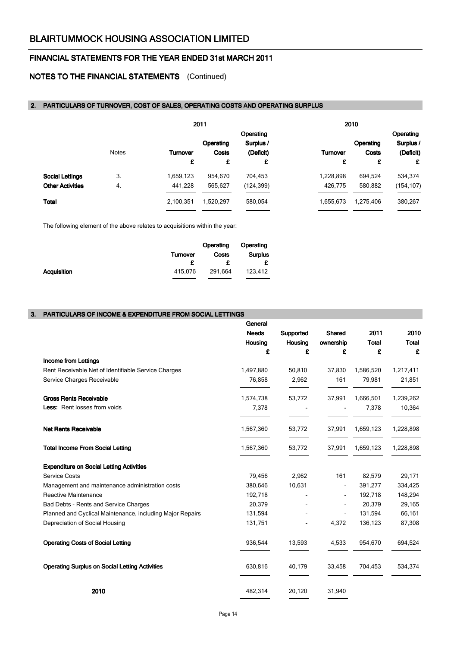## NOTES TO THE FINANCIAL STATEMENTS (Continued)

#### 2. PARTICULARS OF TURNOVER, COST OF SALES, OPERATING COSTS AND OPERATING SURPLUS

|                         |              |                 | 2011         |            |           | 2010      |            |
|-------------------------|--------------|-----------------|--------------|------------|-----------|-----------|------------|
|                         |              |                 |              | Operating  |           |           | Operating  |
|                         |              |                 | Operating    | Surplus /  |           | Operating | Surplus /  |
|                         | <b>Notes</b> | <b>Turnover</b> | <b>Costs</b> | (Deficit)  | Turnover  | Costs     | (Deficit)  |
|                         |              | £               | £            | £          | £         | £         | £          |
| <b>Social Lettings</b>  | 3.           | 1,659,123       | 954,670      | 704,453    | 1,228,898 | 694,524   | 534,374    |
| <b>Other Activities</b> | 4.           | 441,228         | 565,627      | (124, 399) | 426,775   | 580,882   | (154, 107) |
| Total                   |              | 2,100,351       | 1,520,297    | 580,054    | 1,655,673 | 1,275,406 | 380,267    |

The following element of the above relates to acquisitions within the year:

|                    |                 | Operating | Operating      |
|--------------------|-----------------|-----------|----------------|
|                    | <b>Turnover</b> | Costs     | <b>Surplus</b> |
|                    | £               |           | £              |
| <b>Acquisition</b> | 415.076         | 291.664   | 123,412        |
|                    |                 |           |                |

#### 3. PARTICULARS OF INCOME & EXPENDITURE FROM SOCIAL LETTINGS

|                                                           | General      |                |                          |              |              |
|-----------------------------------------------------------|--------------|----------------|--------------------------|--------------|--------------|
|                                                           | <b>Needs</b> | Supported      | <b>Shared</b>            | 2011         | 2010         |
|                                                           | Housing      | Housing        | ownership                | <b>Total</b> | <b>Total</b> |
|                                                           | £            | £              | £                        | £            | £            |
| <b>Income from Lettings</b>                               |              |                |                          |              |              |
| Rent Receivable Net of Identifiable Service Charges       | 1,497,880    | 50,810         | 37,830                   | 1,586,520    | 1,217,411    |
| Service Charges Receivable                                | 76,858       | 2,962          | 161                      | 79,981       | 21,851       |
| <b>Gross Rents Receivable</b>                             | 1,574,738    | 53,772         | 37,991                   | 1,666,501    | 1,239,262    |
| Less: Rent losses from voids                              | 7,378        |                |                          | 7,378        | 10,364       |
| <b>Net Rents Receivable</b>                               | 1,567,360    | 53,772         | 37,991                   | 1,659,123    | 1,228,898    |
| <b>Total Income From Social Letting</b>                   | 1,567,360    | 53,772         | 37,991                   | 1,659,123    | 1,228,898    |
| <b>Expenditure on Social Letting Activities</b>           |              |                |                          |              |              |
| <b>Service Costs</b>                                      | 79,456       | 2,962          | 161                      | 82,579       | 29,171       |
| Management and maintenance administration costs           | 380,646      | 10,631         | $\blacksquare$           | 391,277      | 334,425      |
| <b>Reactive Maintenance</b>                               | 192,718      |                |                          | 192,718      | 148,294      |
| Bad Debts - Rents and Service Charges                     | 20,379       |                |                          | 20,379       | 29,165       |
| Planned and Cyclical Maintenance, including Major Repairs | 131,594      |                | $\overline{\phantom{a}}$ | 131,594      | 66,161       |
| Depreciation of Social Housing                            | 131,751      | $\blacksquare$ | 4,372                    | 136,123      | 87,308       |
| <b>Operating Costs of Social Letting</b>                  | 936,544      | 13,593         | 4,533                    | 954,670      | 694,524      |
| <b>Operating Surplus on Social Letting Activities</b>     | 630,816      | 40,179         | 33,458                   | 704,453      | 534,374      |
| 2010                                                      | 482,314      | 20,120         | 31,940                   |              |              |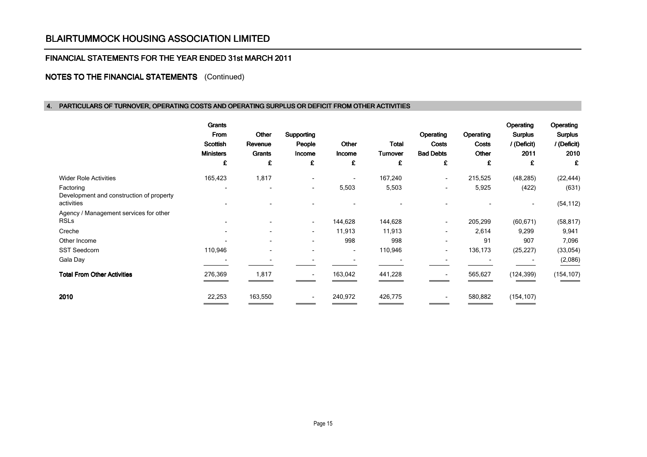### FINANCIAL STATEMENTS FOR THE YEAR ENDED 31st MARCH 2011

## NOTES TO THE FINANCIAL STATEMENTS (Continued)

#### 4. PARTICULARS OF TURNOVER, OPERATING COSTS AND OPERATING SURPLUS OR DEFICIT FROM OTHER ACTIVITIES

|                                                       | Grants<br>From<br><b>Scottish</b><br><b>Ministers</b><br>£ | Other<br>Revenue<br>Grants<br>£ | Supporting<br>People<br>Income<br>£ | Other<br>Income<br>£     | Total<br><b>Turnover</b><br>£ | Operating<br><b>Costs</b><br><b>Bad Debts</b><br>£ | Operating<br><b>Costs</b><br>Other<br>£ | Operating<br><b>Surplus</b><br>/ (Deficit)<br>2011<br>£ | Operating<br><b>Surplus</b><br>/ (Deficit)<br>2010<br>£ |
|-------------------------------------------------------|------------------------------------------------------------|---------------------------------|-------------------------------------|--------------------------|-------------------------------|----------------------------------------------------|-----------------------------------------|---------------------------------------------------------|---------------------------------------------------------|
| <b>Wider Role Activities</b>                          | 165,423                                                    | 1,817                           | $\blacksquare$                      | $\overline{\phantom{a}}$ | 167,240                       | $\overline{\phantom{a}}$                           | 215,525                                 | (48, 285)                                               | (22, 444)                                               |
| Factoring<br>Development and construction of property |                                                            |                                 | $\overline{\phantom{a}}$            | 5,503                    | 5,503                         | ٠                                                  | 5,925                                   | (422)                                                   | (631)                                                   |
| activities                                            |                                                            |                                 |                                     |                          |                               |                                                    |                                         | ۰                                                       | (54, 112)                                               |
| Agency / Management services for other<br><b>RSLs</b> |                                                            |                                 | $\overline{\phantom{a}}$            | 144,628                  | 144,628                       | ٠                                                  | 205,299                                 | (60, 671)                                               | (58, 817)                                               |
| Creche                                                | $\blacksquare$                                             |                                 | $\overline{\phantom{a}}$            | 11,913                   | 11,913                        | $\overline{\phantom{0}}$                           | 2,614                                   | 9,299                                                   | 9,941                                                   |
| Other Income                                          |                                                            |                                 | $\overline{\phantom{a}}$            | 998                      | 998                           | ٠                                                  | 91                                      | 907                                                     | 7,096                                                   |
| <b>SST Seedcorn</b>                                   | 110,946                                                    | $\overline{\phantom{0}}$        | $\overline{\phantom{a}}$            | $\overline{\phantom{a}}$ | 110,946                       | ٠                                                  | 136,173                                 | (25, 227)                                               | (33,054)                                                |
| Gala Day                                              |                                                            |                                 |                                     |                          |                               |                                                    |                                         |                                                         | (2,086)                                                 |
| <b>Total From Other Activities</b>                    | 276,369                                                    | 1,817                           |                                     | 163,042                  | 441,228                       |                                                    | 565,627                                 | (124, 399)                                              | (154, 107)                                              |
| 2010                                                  | 22,253                                                     | 163,550                         | $\blacksquare$                      | 240,972                  | 426,775                       |                                                    | 580,882                                 | (154, 107)                                              |                                                         |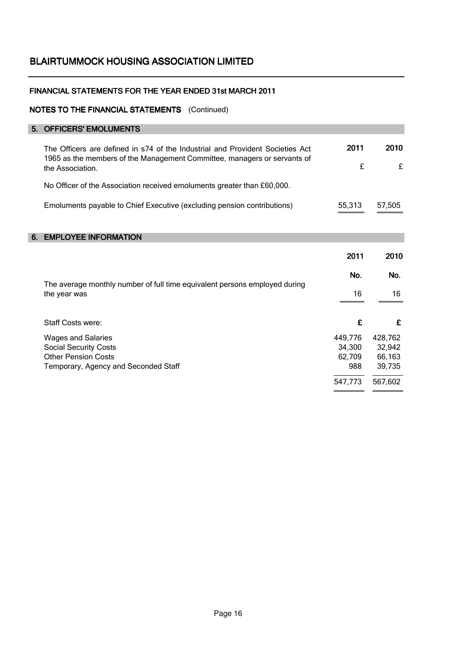## FINANCIAL STATEMENTS FOR THE YEAR ENDED 31st MARCH 2011

### NOTES TO THE FINANCIAL STATEMENTS (Continued)

## 5. OFFICERS' EMOLUMENTS 2011 2010 £ £ No Officer of the Association received emoluments greater than £60,000. Emoluments payable to Chief Executive (excluding pension contributions) 55,313 57,505 55,313 6. EMPLOYEE INFORMATION 2011 2010 No. No. 16 16  $\overline{a}$ Staff Costs were:  $\qquad \qquad$   $\qquad \qquad$   $\qquad \qquad$   $\qquad \qquad$   $\qquad \qquad$   $\qquad \qquad$   $\qquad \qquad$   $\qquad \qquad$   $\qquad \qquad$   $\qquad \qquad$   $\qquad \qquad$   $\qquad \qquad$   $\qquad$   $\qquad \qquad$   $\qquad$   $\qquad \qquad$   $\qquad \qquad$   $\qquad \qquad$   $\qquad$   $\qquad$   $\qquad$   $\qquad$   $\qquad$   $\qquad$   $\qquad$   $\qquad$  Wages and Salaries **449,776** 428,762 Social Security Costs 34,300 32,942 Other Pension Costs 62,709 66,163 Temporary, Agency and Seconded Staff and Seconded Staff 988 39,735 l 547,773 567,602 The average monthly number of full time equivalent persons employed during the year was The Officers are defined in s74 of the Industrial and Provident Societies Act 1965 as the members of the Management Committee, managers or servants of the Association.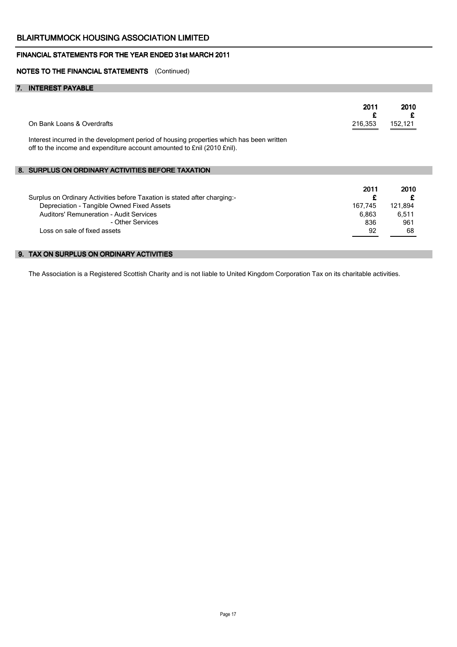#### NOTES TO THE FINANCIAL STATEMENTS (Continued)

#### 7. INTEREST PAYABLE

| On Bank Loans & Overdrafts<br>Interest incurred in the development period of housing properties which has been written<br>off to the income and expenditure account amounted to £nil (2010 £nil).                      | 2011<br>£<br>216,353                       | 2010<br>152,121                       |
|------------------------------------------------------------------------------------------------------------------------------------------------------------------------------------------------------------------------|--------------------------------------------|---------------------------------------|
| 8. SURPLUS ON ORDINARY ACTIVITIES BEFORE TAXATION                                                                                                                                                                      |                                            |                                       |
| Surplus on Ordinary Activities before Taxation is stated after charging:-<br>Depreciation - Tangible Owned Fixed Assets<br>Auditors' Remuneration - Audit Services<br>- Other Services<br>Loss on sale of fixed assets | 2011<br>£<br>167,745<br>6,863<br>836<br>92 | 2010<br>121,894<br>6,511<br>961<br>68 |
| 9. TAX ON SURPLUS ON ORDINARY ACTIVITIES                                                                                                                                                                               |                                            |                                       |

The Association is a Registered Scottish Charity and is not liable to United Kingdom Corporation Tax on its charitable activities.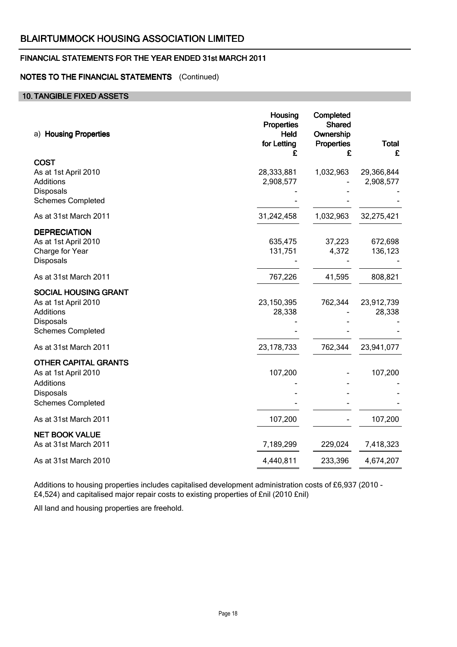## FINANCIAL STATEMENTS FOR THE YEAR ENDED 31st MARCH 2011

## NOTES TO THE FINANCIAL STATEMENTS (Continued)

## 10. TANGIBLE FIXED ASSETS

| a) Housing Properties                                                                                            | Housing<br><b>Properties</b><br>Held<br>for Letting<br>£ | Completed<br><b>Shared</b><br>Ownership<br><b>Properties</b><br>£ | <b>Total</b><br>£       |
|------------------------------------------------------------------------------------------------------------------|----------------------------------------------------------|-------------------------------------------------------------------|-------------------------|
| <b>COST</b><br>As at 1st April 2010<br>Additions<br><b>Disposals</b><br><b>Schemes Completed</b>                 | 28,333,881<br>2,908,577                                  | 1,032,963                                                         | 29,366,844<br>2,908,577 |
| As at 31st March 2011                                                                                            | 31,242,458                                               | 1,032,963                                                         | 32,275,421              |
| <b>DEPRECIATION</b><br>As at 1st April 2010<br>Charge for Year<br>Disposals                                      | 635,475<br>131,751                                       | 37,223<br>4,372                                                   | 672,698<br>136,123      |
| As at 31st March 2011                                                                                            | 767,226                                                  | 41,595                                                            | 808,821                 |
| <b>SOCIAL HOUSING GRANT</b><br>As at 1st April 2010<br>Additions<br>Disposals<br><b>Schemes Completed</b>        | 23, 150, 395<br>28,338                                   | 762,344                                                           | 23,912,739<br>28,338    |
| As at 31st March 2011                                                                                            | 23, 178, 733                                             | 762,344                                                           | 23,941,077              |
| <b>OTHER CAPITAL GRANTS</b><br>As at 1st April 2010<br><b>Additions</b><br>Disposals<br><b>Schemes Completed</b> | 107,200                                                  |                                                                   | 107,200                 |
| As at 31st March 2011                                                                                            | 107,200                                                  |                                                                   | 107,200                 |
| <b>NET BOOK VALUE</b><br>As at 31st March 2011                                                                   | 7,189,299                                                | 229,024                                                           | 7,418,323               |
| As at 31st March 2010                                                                                            | 4,440,811                                                | 233,396                                                           | 4,674,207               |

Additions to housing properties includes capitalised development administration costs of £6,937 (2010 - £4,524) and capitalised major repair costs to existing properties of £nil (2010 £nil)

All land and housing properties are freehold.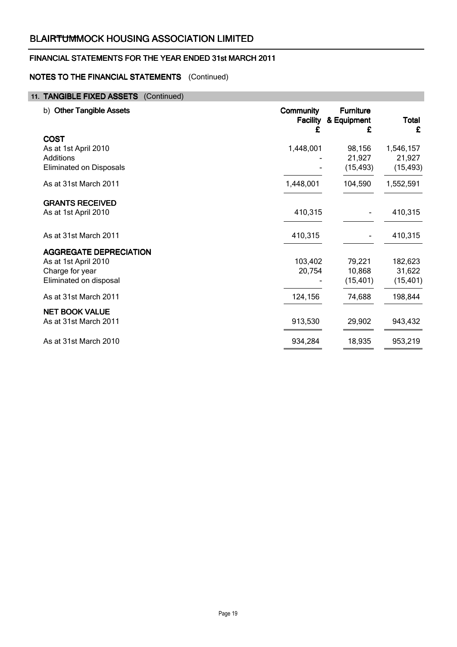## FINANCIAL STATEMENTS FOR THE YEAR ENDED 31st MARCH 2011

## NOTES TO THE FINANCIAL STATEMENTS (Continued)

## 11. TANGIBLE FIXED ASSETS (Continued)

| b) Other Tangible Assets                                                                           | <b>Community</b><br><b>Facility</b><br>£ | <b>Furniture</b><br>& Equipment<br>£ | <b>Total</b><br>£                |
|----------------------------------------------------------------------------------------------------|------------------------------------------|--------------------------------------|----------------------------------|
| <b>COST</b><br>As at 1st April 2010<br><b>Additions</b><br><b>Eliminated on Disposals</b>          | 1,448,001                                | 98,156<br>21,927<br>(15, 493)        | 1,546,157<br>21,927<br>(15, 493) |
| As at 31st March 2011                                                                              | 1,448,001                                | 104,590                              | 1,552,591                        |
| <b>GRANTS RECEIVED</b><br>As at 1st April 2010                                                     | 410,315                                  |                                      | 410,315                          |
| As at 31st March 2011                                                                              | 410,315                                  |                                      | 410,315                          |
| <b>AGGREGATE DEPRECIATION</b><br>As at 1st April 2010<br>Charge for year<br>Eliminated on disposal | 103,402<br>20,754                        | 79,221<br>10,868<br>(15, 401)        | 182,623<br>31,622<br>(15, 401)   |
| As at 31st March 2011                                                                              | 124,156                                  | 74,688                               | 198,844                          |
| <b>NET BOOK VALUE</b><br>As at 31st March 2011                                                     | 913,530                                  | 29,902                               | 943,432                          |
| As at 31st March 2010                                                                              | 934,284                                  | 18,935                               | 953,219                          |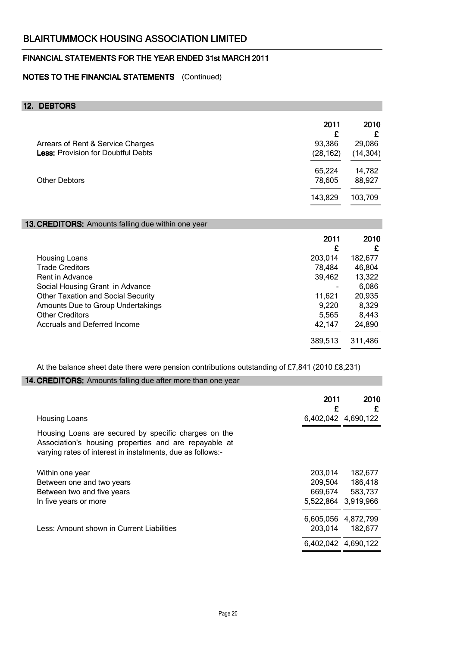## NOTES TO THE FINANCIAL STATEMENTS (Continued)

## 12. DEBTORS

|                                           | 2011<br>£ | 2010      |
|-------------------------------------------|-----------|-----------|
| Arrears of Rent & Service Charges         | 93,386    | 29,086    |
| <b>Less: Provision for Doubtful Debts</b> | (28, 162) | (14, 304) |
|                                           | 65,224    | 14,782    |
| <b>Other Debtors</b>                      | 78,605    | 88,927    |
|                                           | 143,829   | 103,709   |

## 13. CREDITORS: Amounts falling due within one year

|                                           | 2011<br>£ | 2010<br>£ |
|-------------------------------------------|-----------|-----------|
| Housing Loans                             | 203,014   | 182,677   |
| <b>Trade Creditors</b>                    | 78,484    | 46,804    |
| Rent in Advance                           | 39,462    | 13,322    |
| Social Housing Grant in Advance           |           | 6,086     |
| <b>Other Taxation and Social Security</b> | 11,621    | 20,935    |
| Amounts Due to Group Undertakings         | 9,220     | 8,329     |
| <b>Other Creditors</b>                    | 5,565     | 8,443     |
| Accruals and Deferred Income              | 42,147    | 24,890    |
|                                           | 389,513   | 311,486   |

At the balance sheet date there were pension contributions outstanding of £7,841 (2010 £8,231)

## 14. CREDITORS: Amounts falling due after more than one year

| <b>Housing Loans</b>                                                                                                                                                        | 2011    | 2010<br>£<br>6,402,042 4,690,122 |
|-----------------------------------------------------------------------------------------------------------------------------------------------------------------------------|---------|----------------------------------|
|                                                                                                                                                                             |         |                                  |
| Housing Loans are secured by specific charges on the<br>Association's housing properties and are repayable at<br>varying rates of interest in instalments, due as follows:- |         |                                  |
| Within one year                                                                                                                                                             | 203,014 | 182,677                          |
| Between one and two years                                                                                                                                                   | 209,504 | 186,418                          |
| Between two and five years                                                                                                                                                  | 669,674 | 583,737                          |
| In five years or more                                                                                                                                                       |         | 5,522,864 3,919,966              |
|                                                                                                                                                                             |         | 6,605,056 4,872,799              |
| Less: Amount shown in Current Liabilities                                                                                                                                   | 203,014 | 182,677                          |
|                                                                                                                                                                             |         | 6,402,042 4,690,122              |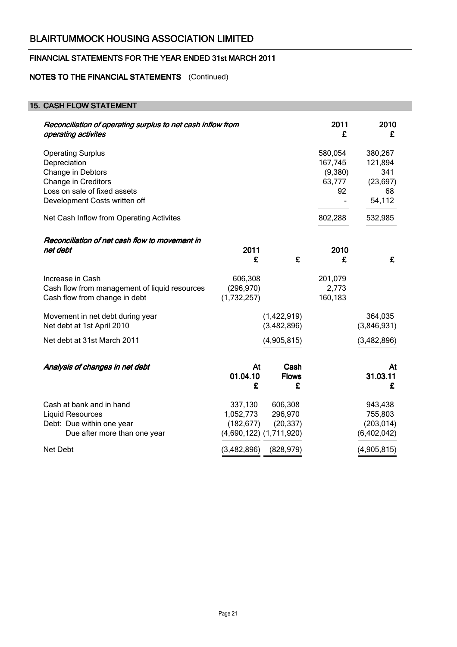## NOTES TO THE FINANCIAL STATEMENTS (Continued)

## 15. CASH FLOW STATEMENT

| Reconciliation of operating surplus to net cash inflow from<br>operating activites                                                                           |                                      |                                 | 2011<br>£                                     | 2010<br>£                                              |
|--------------------------------------------------------------------------------------------------------------------------------------------------------------|--------------------------------------|---------------------------------|-----------------------------------------------|--------------------------------------------------------|
| <b>Operating Surplus</b><br>Depreciation<br>Change in Debtors<br><b>Change in Creditors</b><br>Loss on sale of fixed assets<br>Development Costs written off |                                      |                                 | 580,054<br>167,745<br>(9,380)<br>63,777<br>92 | 380,267<br>121,894<br>341<br>(23, 697)<br>68<br>54,112 |
| Net Cash Inflow from Operating Activites                                                                                                                     |                                      |                                 | 802,288                                       | 532,985                                                |
| Reconciliation of net cash flow to movement in<br>net debt                                                                                                   | 2011<br>£                            | £                               | 2010<br>£                                     | £                                                      |
| Increase in Cash<br>Cash flow from management of liquid resources<br>Cash flow from change in debt                                                           | 606,308<br>(296, 970)<br>(1,732,257) |                                 | 201,079<br>2,773<br>160,183                   |                                                        |
| Movement in net debt during year<br>Net debt at 1st April 2010                                                                                               |                                      | (1,422,919)<br>(3,482,896)      |                                               | 364,035<br>(3,846,931)                                 |
| Net debt at 31st March 2011                                                                                                                                  |                                      | (4,905,815)                     |                                               | (3, 482, 896)                                          |
| Analysis of changes in net debt                                                                                                                              | At<br>01.04.10<br>£                  | Cash<br><b>Flows</b><br>£       |                                               | At<br>31.03.11<br>£                                    |
| Cash at bank and in hand<br><b>Liquid Resources</b><br>Debt: Due within one year                                                                             | 337,130<br>1,052,773<br>(182, 677)   | 606,308<br>296,970<br>(20, 337) |                                               | 943,438<br>755,803<br>(203, 014)                       |
| Due after more than one year                                                                                                                                 |                                      | $(4,690,122)$ $(1,711,920)$     |                                               | (6,402,042)                                            |
| Net Debt                                                                                                                                                     | (3,482,896)                          | (828, 979)                      |                                               | (4,905,815)                                            |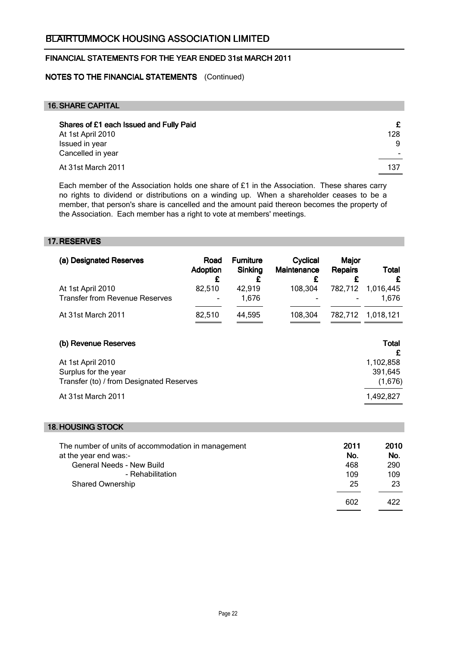## NOTES TO THE FINANCIAL STATEMENTS (Continued)

#### 16.SHARE CAPITAL

| Shares of £1 each Issued and Fully Paid<br>At 1st April 2010 | £<br>128 |
|--------------------------------------------------------------|----------|
| Issued in year<br>Cancelled in year                          | 9        |
| At 31st March 2011                                           | 137      |

Each member of the Association holds one share of  $£1$  in the Association. These shares carry no rights to dividend or distributions on a winding up. When a shareholder ceases to be a member, that person's share is cancelled and the amount paid thereon becomes the property of the Association. Each member has a right to vote at members' meetings.

#### 17. RESERVES

| <b>Adoption</b><br>£                     | Sinking<br>£ | Maintenance<br>£ | <b>Repairs</b><br>£ | Total<br>£                                    |
|------------------------------------------|--------------|------------------|---------------------|-----------------------------------------------|
| 82,510                                   | 42,919       | 108,304          | 782,712             | 1,016,445                                     |
|                                          | 1,676        |                  |                     | 1,676                                         |
| 82,510                                   | 44,595       | 108,304          | 782.712             | 1,018,121                                     |
|                                          |              |                  |                     |                                               |
|                                          |              |                  |                     | <b>Total</b>                                  |
|                                          |              |                  |                     | £                                             |
|                                          |              |                  |                     | 1,102,858                                     |
|                                          |              |                  |                     | 391,645                                       |
| Transfer (to) / from Designated Reserves |              |                  |                     | (1,676)                                       |
|                                          |              |                  |                     | 1,492,827                                     |
|                                          |              |                  |                     | <b>Furniture</b><br>Cyclical<br>Major<br>Road |

#### 18. HOUSING STOCK

| The number of units of accommodation in management<br>at the year end was:- | 2011<br>No. | 2010<br>No. |
|-----------------------------------------------------------------------------|-------------|-------------|
| <b>General Needs - New Build</b>                                            | 468         | 290         |
| - Rehabilitation                                                            | 109         | 109         |
| <b>Shared Ownership</b>                                                     | 25          | 23          |
|                                                                             | 602         | 422         |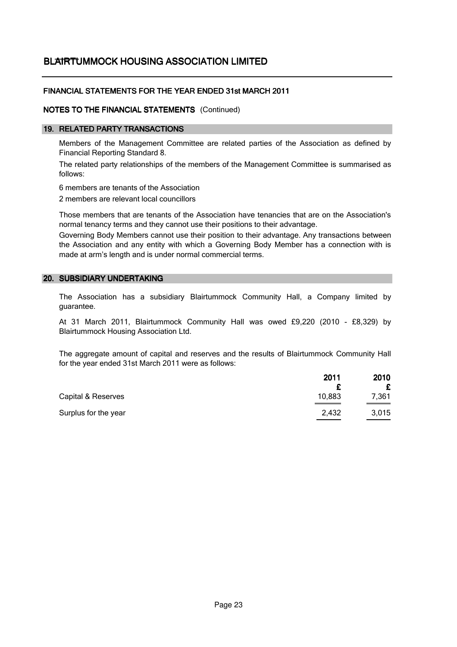# BL<del>AIRT</del>UMMOCK HOUSING ASSOCIATION LIMITED

## FINANCIAL STATEMENTS FOR THE YEAR ENDED 31st MARCH 2011

## NOTES TO THE FINANCIAL STATEMENTS (Continued)

#### 19. RELATED PARTY TRANSACTIONS

Members of the Management Committee are related parties of the Association as defined by Financial Reporting Standard 8.

The related party relationships of the members of the Management Committee is summarised as follows:

6 members are tenants of the Association

2 members are relevant local councillors

Those members that are tenants of the Association have tenancies that are on the Association's normal tenancy terms and they cannot use their positions to their advantage.

Governing Body Members cannot use their position to their advantage. Any transactions between the Association and any entity with which a Governing Body Member has a connection with is made at arm's length and is under normal commercial terms.

#### 20. SUBSIDIARY UNDERTAKING

The Association has a subsidiary Blairtummock Community Hall, a Company limited by guarantee.

At 31 March 2011, Blairtummock Community Hall was owed £9,220 (2010 - £8,329) by Blairtummock Housing Association Ltd.

The aggregate amount of capital and reserves and the results of Blairtummock Community Hall for the year ended 31st March 2011 were as follows:

|                      | 2011   | 2010            |
|----------------------|--------|-----------------|
|                      |        |                 |
| Capital & Reserves   | 10,883 | 7,361           |
| Surplus for the year | 2,432  | 3,015<br>______ |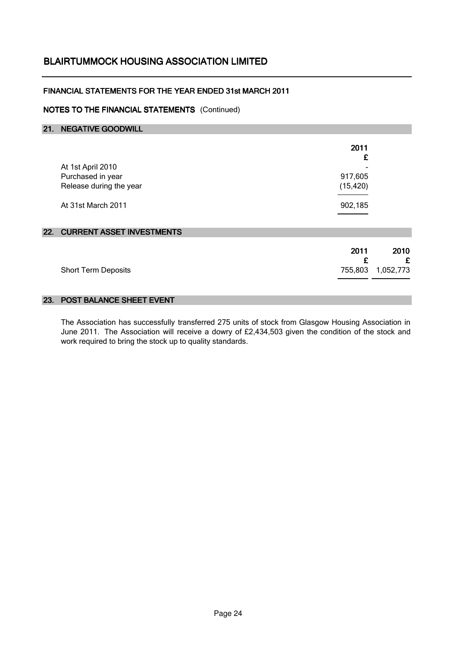## FINANCIAL STATEMENTS FOR THE YEAR ENDED 31st MARCH 2011

## NOTES TO THE FINANCIAL STATEMENTS (Continued)

| 21. | <b>NEGATIVE GOODWILL</b>      |           |           |
|-----|-------------------------------|-----------|-----------|
|     |                               | 2011<br>£ |           |
|     | At 1st April 2010             |           |           |
|     | Purchased in year             | 917,605   |           |
|     | Release during the year       | (15, 420) |           |
|     | At 31st March 2011            | 902,185   |           |
|     |                               |           |           |
|     | 22. CURRENT ASSET INVESTMENTS |           |           |
|     |                               | 2011<br>£ | 2010<br>£ |
|     | <b>Short Term Deposits</b>    | 755,803   | 1,052,773 |
|     |                               |           |           |

#### 23. POST BALANCE SHEET EVENT

The Association has successfully transferred 275 units of stock from Glasgow Housing Association in June 2011. The Association will receive a dowry of £2,434,503 given the condition of the stock and work required to bring the stock up to quality standards.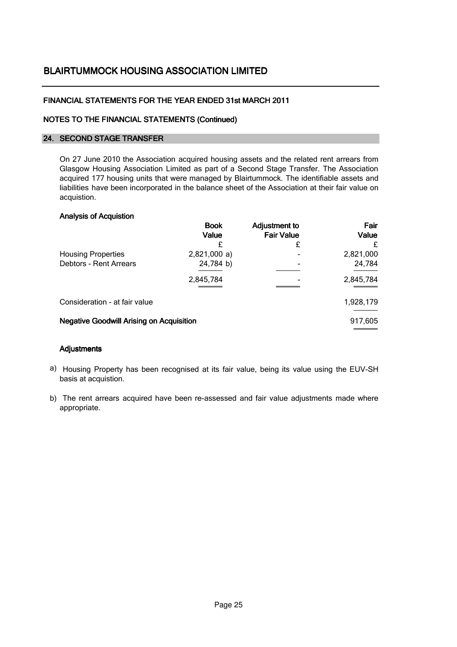## FINANCIAL STATEMENTS FOR THE YEAR ENDED 31st MARCH 2011

#### NOTES TO THE FINANCIAL STATEMENTS (Continued)

#### 24. SECOND STAGE TRANSFER

On 27 June 2010 the Association acquired housing assets and the related rent arrears from Glasgow Housing Association Limited as part of a Second Stage Transfer. The Association acquired 177 housing units that were managed by Blairtummock. The identifiable assets and liabilities have been incorporated in the balance sheet of the Association at their fair value on acquistion.

#### Analysis of Acquistion

|                                                 | <b>Book</b><br>Value | <b>Adjustment to</b><br><b>Fair Value</b> | Fair<br>Value |
|-------------------------------------------------|----------------------|-------------------------------------------|---------------|
|                                                 |                      | £                                         | £             |
| <b>Housing Properties</b>                       | 2,821,000a)          |                                           | 2,821,000     |
| <b>Debtors - Rent Arrears</b>                   | 24,784 b)            |                                           | 24,784        |
|                                                 | 2,845,784            |                                           | 2,845,784     |
| Consideration - at fair value                   |                      |                                           | 1,928,179     |
| <b>Negative Goodwill Arising on Acquisition</b> |                      |                                           | 917,605       |

### Adjustments

- a) Housing Property has been recognised at its fair value, being its value using the EUV-SH basis at acquistion.
- b) The rent arrears acquired have been re-assessed and fair value adjustments made where appropriate.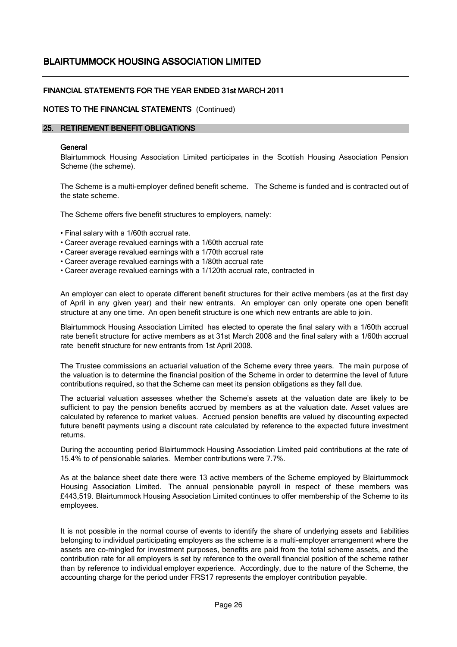## FINANCIAL STATEMENTS FOR THE YEAR ENDED 31st MARCH 2011

#### NOTES TO THE FINANCIAL STATEMENTS (Continued)

#### 25. RETIREMENT BENEFIT OBLIGATIONS

#### **General**

Blairtummock Housing Association Limited participates in the Scottish Housing Association Pension Scheme (the scheme).

The Scheme is a multi-employer defined benefit scheme. The Scheme is funded and is contracted out of the state scheme.

The Scheme offers five benefit structures to employers, namely:

- Final salary with a 1/60th accrual rate.
- Career average revalued earnings with a 1/60th accrual rate
- Career average revalued earnings with a 1/70th accrual rate
- Career average revalued earnings with a 1/80th accrual rate
- Career average revalued earnings with a 1/120th accrual rate, contracted in

An employer can elect to operate different benefit structures for their active members (as at the first day of April in any given year) and their new entrants. An employer can only operate one open benefit structure at any one time. An open benefit structure is one which new entrants are able to join.

Blairtummock Housing Association Limited has elected to operate the final salary with a 1/60th accrual rate benefit structure for active members as at 31st March 2008 and the final salary with a 1/60th accrual rate benefit structure for new entrants from 1st April 2008.

The Trustee commissions an actuarial valuation of the Scheme every three years. The main purpose of the valuation is to determine the financial position of the Scheme in order to determine the level of future contributions required, so that the Scheme can meet its pension obligations as they fall due.

The actuarial valuation assesses whether the Scheme's assets at the valuation date are likely to be sufficient to pay the pension benefits accrued by members as at the valuation date. Asset values are calculated by reference to market values. Accrued pension benefits are valued by discounting expected future benefit payments using a discount rate calculated by reference to the expected future investment returns.

During the accounting period Blairtummock Housing Association Limited paid contributions at the rate of 15.4% to of pensionable salaries. Member contributions were 7.7%.

As at the balance sheet date there were 13 active members of the Scheme employed by Blairtummock Housing Association Limited. The annual pensionable payroll in respect of these members was £443,519. Blairtummock Housing Association Limited continues to offer membership of the Scheme to its employees.

It is not possible in the normal course of events to identify the share of underlying assets and liabilities belonging to individual participating employers as the scheme is a multi-employer arrangement where the assets are co-mingled for investment purposes, benefits are paid from the total scheme assets, and the contribution rate for all employers is set by reference to the overall financial position of the scheme rather than by reference to individual employer experience. Accordingly, due to the nature of the Scheme, the accounting charge for the period under FRS17 represents the employer contribution payable.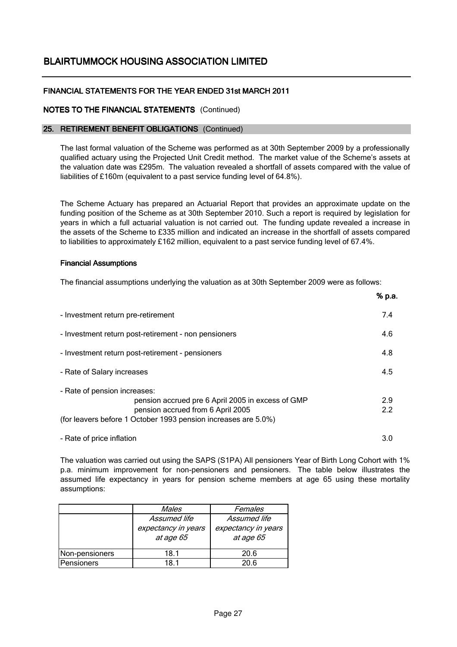## FINANCIAL STATEMENTS FOR THE YEAR ENDED 31st MARCH 2011

## NOTES TO THE FINANCIAL STATEMENTS (Continued)

#### 25. RETIREMENT BENEFIT OBLIGATIONS (Continued)

The last formal valuation of the Scheme was performed as at 30th September 2009 by a professionally qualified actuary using the Projected Unit Credit method. The market value of the Scheme's assets at the valuation date was £295m. The valuation revealed a shortfall of assets compared with the value of liabilities of £160m (equivalent to a past service funding level of 64.8%).

The Scheme Actuary has prepared an Actuarial Report that provides an approximate update on the funding position of the Scheme as at 30th September 2010. Such a report is required by legislation for years in which a full actuarial valuation is not carried out. The funding update revealed a increase in the assets of the Scheme to £335 million and indicated an increase in the shortfall of assets compared to liabilities to approximately £162 million, equivalent to a past service funding level of 67.4%.

#### Financial Assumptions

The financial assumptions underlying the valuation as at 30th September 2009 were as follows:

|                                                                                                                                                                                          | % p.a.     |
|------------------------------------------------------------------------------------------------------------------------------------------------------------------------------------------|------------|
| - Investment return pre-retirement                                                                                                                                                       | 7.4        |
| - Investment return post-retirement - non pensioners                                                                                                                                     | 4.6        |
| - Investment return post-retirement - pensioners                                                                                                                                         | 4.8        |
| - Rate of Salary increases                                                                                                                                                               | 4.5        |
| - Rate of pension increases:<br>pension accrued pre 6 April 2005 in excess of GMP<br>pension accrued from 6 April 2005<br>(for leavers before 1 October 1993 pension increases are 5.0%) | 2.9<br>2.2 |
| - Rate of price inflation                                                                                                                                                                | 3.0        |

The valuation was carried out using the SAPS (S1PA) All pensioners Year of Birth Long Cohort with 1% p.a. minimum improvement for non-pensioners and pensioners. The table below illustrates the assumed life expectancy in years for pension scheme members at age 65 using these mortality assumptions:

|                | Males                            | Females                          |
|----------------|----------------------------------|----------------------------------|
|                | Assumed life                     | Assumed life                     |
|                | expectancy in years<br>at age 65 | expectancy in years<br>at age 65 |
| Non-pensioners | 18.1                             | 20.6                             |
| Pensioners     | 18 1                             | 20 R                             |